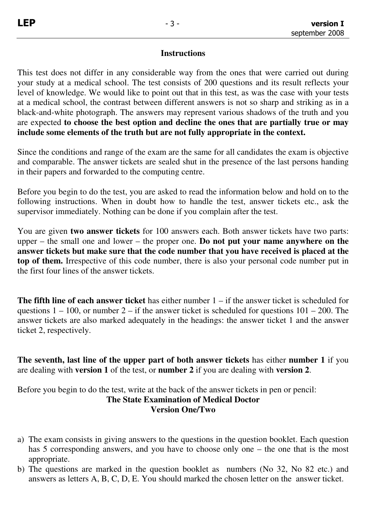## **Instructions**

This test does not differ in any considerable way from the ones that were carried out during your study at a medical school. The test consists of 200 questions and its result reflects your level of knowledge. We would like to point out that in this test, as was the case with your tests at a medical school, the contrast between different answers is not so sharp and striking as in a black-and-white photograph. The answers may represent various shadows of the truth and you are expected **to choose the best option and decline the ones that are partially true or may include some elements of the truth but are not fully appropriate in the context.** 

Since the conditions and range of the exam are the same for all candidates the exam is objective and comparable. The answer tickets are sealed shut in the presence of the last persons handing in their papers and forwarded to the computing centre.

Before you begin to do the test, you are asked to read the information below and hold on to the following instructions. When in doubt how to handle the test, answer tickets etc., ask the supervisor immediately. Nothing can be done if you complain after the test.

You are given **two answer tickets** for 100 answers each. Both answer tickets have two parts: upper – the small one and lower – the proper one. **Do not put your name anywhere on the answer tickets but make sure that the code number that you have received is placed at the top of them.** Irrespective of this code number, there is also your personal code number put in the first four lines of the answer tickets.

**The fifth line of each answer ticket** has either number 1 – if the answer ticket is scheduled for questions  $1 - 100$ , or number  $2 -$  if the answer ticket is scheduled for questions  $101 - 200$ . The answer tickets are also marked adequately in the headings: the answer ticket 1 and the answer ticket 2, respectively.

**The seventh, last line of the upper part of both answer tickets** has either **number 1** if you are dealing with **version 1** of the test, or **number 2** if you are dealing with **version 2**.

Before you begin to do the test, write at the back of the answer tickets in pen or pencil: **The State Examination of Medical Doctor Version One/Two** 

- a) The exam consists in giving answers to the questions in the question booklet. Each question has 5 corresponding answers, and you have to choose only one – the one that is the most appropriate.
- b) The questions are marked in the question booklet as numbers (No 32, No 82 etc.) and answers as letters A, B, C, D, E. You should marked the chosen letter on the answer ticket.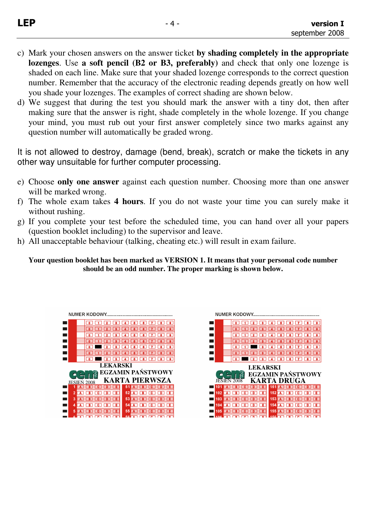- c) Mark your chosen answers on the answer ticket **by shading completely in the appropriate lozenges**. Use **a soft pencil (B2 or B3, preferably)** and check that only one lozenge is shaded on each line. Make sure that your shaded lozenge corresponds to the correct question number. Remember that the accuracy of the electronic reading depends greatly on how well you shade your lozenges. The examples of correct shading are shown below.
- d) We suggest that during the test you should mark the answer with a tiny dot, then after making sure that the answer is right, shade completely in the whole lozenge. If you change your mind, you must rub out your first answer completely since two marks against any question number will automatically be graded wrong.

It is not allowed to destroy, damage (bend, break), scratch or make the tickets in any other way unsuitable for further computer processing.

- e) Choose **only one answer** against each question number. Choosing more than one answer will be marked wrong.
- f) The whole exam takes **4 hours**. If you do not waste your time you can surely make it without rushing.
- g) If you complete your test before the scheduled time, you can hand over all your papers (question booklet including) to the supervisor and leave.
- h) All unacceptable behaviour (talking, cheating etc.) will result in exam failure.

**Your question booklet has been marked as VERSION 1. It means that your personal code number should be an odd number. The proper marking is shown below.** 

|                 | NUMER KODOWY.         |                                                                            |  |  |
|-----------------|-----------------------|----------------------------------------------------------------------------|--|--|
|                 | lя                    | $\overline{4}$<br>$\sqrt{5}$<br>Γв                                         |  |  |
|                 |                       | <b>P</b><br>$\mathbf{a}$                                                   |  |  |
|                 |                       | $\overline{\mathbf{a}}$                                                    |  |  |
|                 |                       |                                                                            |  |  |
|                 |                       | ٠                                                                          |  |  |
|                 |                       | $\overline{\mathbf{a}}$                                                    |  |  |
|                 | 3<br>o                | ⊡∎<br>$\overline{\mathbf{8}}$<br>6 <sup>1</sup><br>$\mathbf{7}$<br>ē.<br>4 |  |  |
| <b>LEKARSKI</b> |                       |                                                                            |  |  |
|                 |                       |                                                                            |  |  |
|                 |                       | <b>EGZAMIN PAŃSTWOWY</b>                                                   |  |  |
|                 | KAI<br>JESIEŃ<br>2008 | RTA PIERWSZA                                                               |  |  |
|                 |                       | 5                                                                          |  |  |
|                 | Ε<br>п                | 52<br>ΓΕ                                                                   |  |  |
| 3               | Œ.<br>c<br>۰          | 53<br>I E<br>c<br>D                                                        |  |  |
| 4               | Έ<br>n                | 54<br>ΓΕ<br>n<br>c                                                         |  |  |
| 5               |                       | 55                                                                         |  |  |

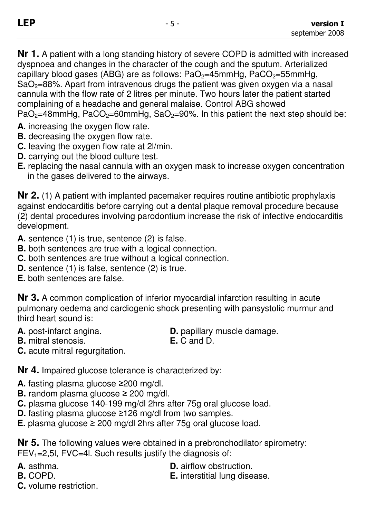**Nr 1.** A patient with a long standing history of severe COPD is admitted with increased dyspnoea and changes in the character of the cough and the sputum. Arterialized capillary blood gases (ABG) are as follows:  $PaO<sub>2</sub>=45mmHg$ ,  $PaCO<sub>2</sub>=55mmHg$ ,  $SaO<sub>2</sub>=88%$ . Apart from intravenous drugs the patient was given oxygen via a nasal cannula with the flow rate of 2 litres per minute. Two hours later the patient started complaining of a headache and general malaise. Control ABG showed  $PaO<sub>2</sub>=48mmHg$ ,  $PaCO<sub>2</sub>=60mmHg$ ,  $SaO<sub>2</sub>=90%$ . In this patient the next step should be:

- **A.** increasing the oxygen flow rate.
- **B.** decreasing the oxygen flow rate.
- **C.** leaving the oxygen flow rate at 2l/min.
- **D.** carrying out the blood culture test.
- **E.** replacing the nasal cannula with an oxygen mask to increase oxygen concentration in the gases delivered to the airways.

**Nr 2.** (1) A patient with implanted pacemaker requires routine antibiotic prophylaxis against endocarditis before carrying out a dental plaque removal procedure because (2) dental procedures involving parodontium increase the risk of infective endocarditis development.

- **A.** sentence (1) is true, sentence (2) is false.
- **B.** both sentences are true with a logical connection.
- **C.** both sentences are true without a logical connection.
- **D.** sentence (1) is false, sentence (2) is true.
- **E.** both sentences are false.

**Nr 3.** A common complication of inferior myocardial infarction resulting in acute pulmonary oedema and cardiogenic shock presenting with pansystolic murmur and third heart sound is:

- **A.** post-infarct angina. **D.** papillary muscle damage.
	-
- **B.** mitral stenosis. **E.** C and D. **C.** acute mitral regurgitation.

**Nr 4.** Impaired glucose tolerance is characterized by:

- **A.** fasting plasma glucose ≥200 mg/dl.
- **B.** random plasma glucose ≥ 200 mg/dl.
- **C.** plasma glucose 140-199 mg/dl 2hrs after 75g oral glucose load.
- **D.** fasting plasma glucose ≥126 mg/dl from two samples.
- **E.** plasma glucose ≥ 200 mg/dl 2hrs after 75g oral glucose load.

**Nr 5.** The following values were obtained in a prebronchodilator spirometry: FEV<sub>1</sub>=2,5l, FVC=4l. Such results justify the diagnosis of:

- 
- 

**A.** asthma. **D.** airflow obstruction.

**B.** COPD. **E.** interstitial lung disease.

**C.** volume restriction.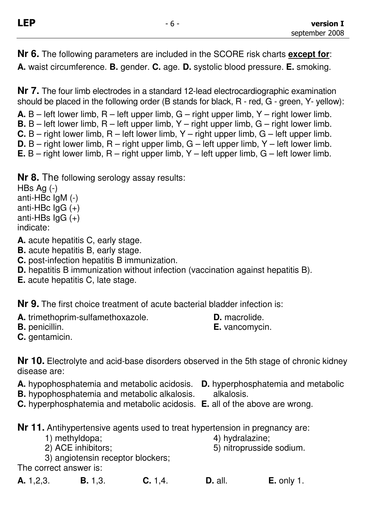**Nr 6.** The following parameters are included in the SCORE risk charts **except for**: **A.** waist circumference. **B.** gender. **C.** age. **D.** systolic blood pressure. **E.** smoking.

**Nr 7.** The four limb electrodes in a standard 12-lead electrocardiographic examination should be placed in the following order (B stands for black, R - red, G - green, Y- yellow):

**A.** B – left lower limb, R – left upper limb, G – right upper limb, Y – right lower limb.

- **B.** B left lower limb, R left upper limb, Y right upper limb, G right lower limb.
- **C.** B right lower limb, R left lower limb, Y right upper limb, G left upper limb.
- **D.** B right lower limb, R right upper limb, G left upper limb, Y left lower limb.
- **E.** B right lower limb, R right upper limb, Y left upper limb, G left lower limb.
- **Nr 8.** The following serology assay results:

HBs Ag (-) anti-HBc IgM (-) anti-HBc  $lgG (+)$ anti-HBs  $\lg G (+)$ indicate:

**A.** acute hepatitis C, early stage.

- **B.** acute hepatitis B, early stage.
- **C.** post-infection hepatitis B immunization.
- **D.** hepatitis B immunization without infection (vaccination against hepatitis B).
- **E.** acute hepatitis C, late stage.

**Nr 9.** The first choice treatment of acute bacterial bladder infection is:

**A.** trimethoprim-sulfamethoxazole. **D.** macrolide.<br>**B.** penicillin. **B.** penicillin.

**E.** vancomycin.

**C.** gentamicin.

**Nr 10.** Electrolyte and acid-base disorders observed in the 5th stage of chronic kidney disease are:

- **A.** hypophosphatemia and metabolic acidosis. **D.** hyperphosphatemia and metabolic
- **B.** hypophosphatemia and metabolic alkalosis. alkalosis.
- **C.** hyperphosphatemia and metabolic acidosis. **E.** all of the above are wrong.

**Nr 11.** Antihypertensive agents used to treat hypertension in pregnancy are:

- 1) methyldopa; 4) hydralazine;
	-
- 2) ACE inhibitors; 5) nitroprusside sodium.
- 3) angiotensin receptor blockers;

The correct answer is:

- **A.** 1,2,3. **B.** 1,3. **C.** 1,4. **D.** all. **E.** only 1.
-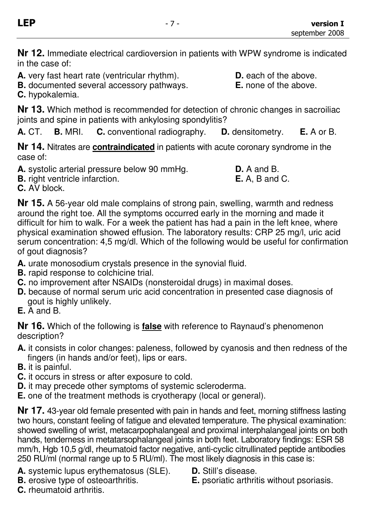**Nr 12.** Immediate electrical cardioversion in patients with WPW syndrome is indicated in the case of:

**A.** very fast heart rate (ventricular rhythm). **D.** each of the above.

**B.** documented several accessory pathways. **E.** none of the above.

**C.** hypokalemia.

**Nr 13.** Which method is recommended for detection of chronic changes in sacroiliac joints and spine in patients with ankylosing spondylitis?

**A.** CT. **B.** MRI. **C.** conventional radiography. **D.** densitometry. **E.** A or B.

**Nr 14.** Nitrates are **contraindicated** in patients with acute coronary syndrome in the case of:

**A.** systolic arterial pressure below 90 mmHg. **D.** A and B.

**B.** right ventricle infarction. **E.** A, B and C.

**C.** AV block.

**Nr 15.** A 56-year old male complains of strong pain, swelling, warmth and redness around the right toe. All the symptoms occurred early in the morning and made it difficult for him to walk. For a week the patient has had a pain in the left knee, where physical examination showed effusion. The laboratory results: CRP 25 mg/l, uric acid serum concentration: 4,5 mg/dl. Which of the following would be useful for confirmation of gout diagnosis?

- **A.** urate monosodium crystals presence in the synovial fluid.
- **B.** rapid response to colchicine trial.
- **C.** no improvement after NSAIDs (nonsteroidal drugs) in maximal doses.
- **D.** because of normal serum uric acid concentration in presented case diagnosis of gout is highly unlikely.
- **E.** A and B.

**Nr 16.** Which of the following is **false** with reference to Raynaud's phenomenon description?

- **A.** it consists in color changes: paleness, followed by cyanosis and then redness of the fingers (in hands and/or feet), lips or ears.
- **B.** it is painful.
- **C.** it occurs in stress or after exposure to cold.
- **D.** it may precede other symptoms of systemic scleroderma.
- **E.** one of the treatment methods is cryotherapy (local or general).

**Nr 17.** 43-year old female presented with pain in hands and feet, morning stiffness lasting two hours, constant feeling of fatigue and elevated temperature. The physical examination: showed swelling of wrist, metacarpophalangeal and proximal interphalangeal joints on both hands, tenderness in metatarsophalangeal joints in both feet. Laboratory findings: ESR 58 mm/h, Hgb 10,5 g/dl, rheumatoid factor negative, anti-cyclic citrullinated peptide antibodies 250 RU/ml (normal range up to 5 RU/ml). The most likely diagnosis in this case is:

- **A.** systemic lupus erythematosus (SLE). **D.** Still's disease.<br>**B.** erosive type of osteoarthritis. **E.** psoriatic arthrit
- 
- 
- **E.** psoriatic arthritis without psoriasis.

**C.** rheumatoid arthritis.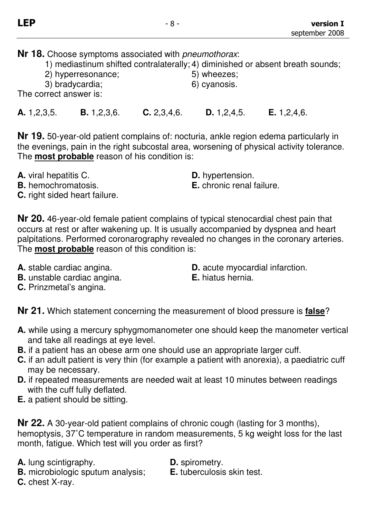**Nr 18.** Choose symptoms associated with *pneumothorax*:

|                    | 1) mediastinum shifted contralaterally; 4) diminished or absent breath sounds; |
|--------------------|--------------------------------------------------------------------------------|
| 2) hyperresonance; | 5) wheezes;                                                                    |
| 3) bradycardia;    | 6) cyanosis.                                                                   |

The correct answer is:

**A.** 1,2,3,5. **B.** 1,2,3,6. **C.** 2,3,4,6. **D.** 1,2,4,5. **E.** 1,2,4,6.

**Nr 19.** 50-year-old patient complains of: nocturia, ankle region edema particularly in the evenings, pain in the right subcostal area, worsening of physical activity tolerance. The **most probable** reason of his condition is:

- **A.** viral hepatitis C. **D.** hypertension.
- 
- **B.** hemochromatosis. **E.** chronic renal failure.
- **C.** right sided heart failure.

**Nr 20.** 46-year-old female patient complains of typical stenocardial chest pain that occurs at rest or after wakening up. It is usually accompanied by dyspnea and heart palpitations. Performed coronarography revealed no changes in the coronary arteries. The **most probable** reason of this condition is:

- 
- **B.** unstable cardiac angina. **E.** hiatus hernia.
- **C.** Prinzmetal's angina.
- A. stable cardiac angina. **D.** acute myocardial infarction.
	-

**Nr 21.** Which statement concerning the measurement of blood pressure is **false**?

- **A.** while using a mercury sphygmomanometer one should keep the manometer vertical and take all readings at eye level.
- **B.** if a patient has an obese arm one should use an appropriate larger cuff.
- **C.** if an adult patient is very thin (for example a patient with anorexia), a paediatric cuff may be necessary.
- **D.** if repeated measurements are needed wait at least 10 minutes between readings with the cuff fully deflated.
- **E.** a patient should be sitting.

**Nr 22.** A 30-year-old patient complains of chronic cough (lasting for 3 months), hemoptysis, 37˚C temperature in random measurements, 5 kg weight loss for the last month, fatigue. Which test will you order as first?

**A.** lung scintigraphy. **D.** spirometry.

**B.** microbiologic sputum analysis; **E.** tuberculosis skin test.

**C.** chest X-ray.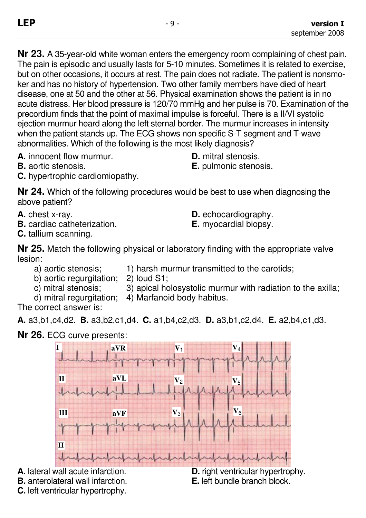**Nr 23.** A 35-year-old white woman enters the emergency room complaining of chest pain. The pain is episodic and usually lasts for 5-10 minutes. Sometimes it is related to exercise, but on other occasions, it occurs at rest. The pain does not radiate. The patient is nonsmoker and has no history of hypertension. Two other family members have died of heart disease, one at 50 and the other at 56. Physical examination shows the patient is in no acute distress. Her blood pressure is 120/70 mmHg and her pulse is 70. Examination of the precordium finds that the point of maximal impulse is forceful. There is a II/VI systolic ejection murmur heard along the left sternal border. The murmur increases in intensity when the patient stands up. The ECG shows non specific S-T segment and T-wave abnormalities. Which of the following is the most likely diagnosis?

**A.** innocent flow murmur. **D.** mitral stenosis.

- 
- **B.** aortic stenosis. **E.** pulmonic stenosis.
- **C.** hypertrophic cardiomiopathy.

**Nr 24.** Which of the following procedures would be best to use when diagnosing the above patient?

- **A.** chest x-ray. **D.** echocardiography.
- **B.** cardiac catheterization. **E.** myocardial biopsy.
- **C.** tallium scanning.

**Nr 25.** Match the following physical or laboratory finding with the appropriate valve lesion:

- a) aortic stenosis; 1) harsh murmur transmitted to the carotids;
- b) aortic regurgitation; 2) loud S1;
- c) mitral stenosis; 3) apical holosystolic murmur with radiation to the axilla;
- d) mitral regurgitation; 4) Marfanoid body habitus.

The correct answer is:

**A.** a3,b1,c4,d2. **B.** a3,b2,c1,d4. **C.** a1,b4,c2,d3. **D.** a3,b1,c2,d4. **E.** a2,b4,c1,d3.

**Nr 26.** ECG curve presents:



**A.** lateral wall acute infarction. **D.** right ventricular hypertrophy.

**B.** anterolateral wall infarction. **E.** left bundle branch block.

**C.** left ventricular hypertrophy.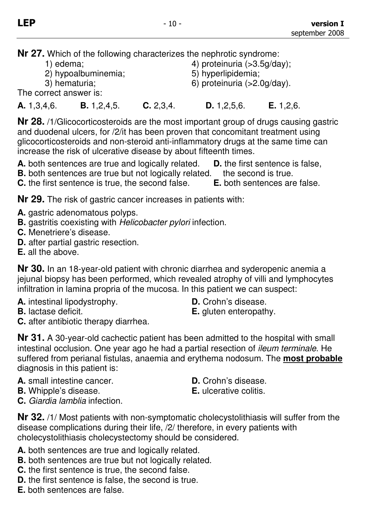**Nr 27.** Which of the following characterizes the nephrotic syndrome:

- 
- 2) hypoalbuminemia; 5) hyperlipidemia;
- 1) edema;  $\qquad \qquad$  4) proteinuria (>3.5g/day);
	-
- 3) hematuria; 6) proteinuria (>2.0g/day).

The correct answer is:

**A.** 1,3,4,6. **B.** 1,2,4,5. **C.** 2,3,4. **D.** 1,2,5,6. **E.** 1,2,6.

**Nr 28.** /1/Glicocorticosteroids are the most important group of drugs causing gastric and duodenal ulcers, for /2/it has been proven that concomitant treatment using glicocorticosteroids and non-steroid anti-inflammatory drugs at the same time can increase the risk of ulcerative disease by about fifteenth times.

**A.** both sentences are true and logically related. **D.** the first sentence is false,

**B.** both sentences are true but not logically related. the second is true.

**C.** the first sentence is true, the second false. **E.** both sentences are false.

**Nr 29.** The risk of gastric cancer increases in patients with:

- **A.** gastric adenomatous polyps.
- **B.** gastritis coexisting with Helicobacter pylori infection.
- **C.** Menetriere's disease.
- **D.** after partial gastric resection.
- **E.** all the above.

**Nr 30.** In an 18-year-old patient with chronic diarrhea and syderopenic anemia a jejunal biopsy has been performed, which revealed atrophy of villi and lymphocytes infiltration in lamina propria of the mucosa. In this patient we can suspect:

- **A.** intestinal lipodystrophy. **D.** Crohn's disease.
- **C.** after antibiotic therapy diarrhea.
- 

**B.** lactase deficit. **E.** gluten enteropathy.

**Nr 31.** A 30-year-old cachectic patient has been admitted to the hospital with small intestinal occlusion. One year ago he had a partial resection of ileum terminale. He suffered from perianal fistulas, anaemia and erythema nodosum. The **most probable** diagnosis in this patient is:

- **A.** small intestine cancer. **D.** Crohn's disease.
- **B.** Whipple's disease. **E.** ulcerative colitis.
- 

**C.** Giardia lamblia infection.

**Nr 32.** /1/ Most patients with non-symptomatic cholecystolithiasis will suffer from the disease complications during their life, /2/ therefore, in every patients with cholecystolithiasis cholecystectomy should be considered.

- **A.** both sentences are true and logically related.
- **B.** both sentences are true but not logically related.
- **C.** the first sentence is true, the second false.
- **D.** the first sentence is false, the second is true.
- **E.** both sentences are false.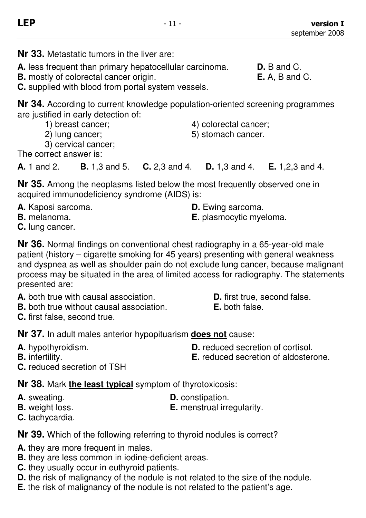- **Nr 33.** Metastatic tumors in the liver are:
- **A.** less frequent than primary hepatocellular carcinoma. **D.** B and C.
- **B.** mostly of colorectal cancer origin. **E.** A, B and C.

**C.** supplied with blood from portal system vessels.

**Nr 34.** According to current knowledge population-oriented screening programmes are justified in early detection of:

- 1) breast cancer;  $\qquad \qquad$  4) colorectal cancer;
- 2) lung cancer; 6) stomach cancer.

3) cervical cancer;

The correct answer is:

**A.** 1 and 2. **B.** 1,3 and 5. **C.** 2,3 and 4. **D.** 1,3 and 4. **E.** 1,2,3 and 4.

**Nr 35.** Among the neoplasms listed below the most frequently observed one in acquired immunodeficiency syndrome (AIDS) is:

- **A.** Kaposi sarcoma. **D.** Ewing sarcoma.
- 
- **C.** lung cancer.

**Nr 36.** Normal findings on conventional chest radiography in a 65-year-old male patient (history – cigarette smoking for 45 years) presenting with general weakness and dyspnea as well as shoulder pain do not exclude lung cancer, because malignant process may be situated in the area of limited access for radiography. The statements presented are:

- **A.** both true with causal association. **D.** first true, second false.
- **B.** both true without causal association. **E.** both false.
- **C.** first false, second true.

**Nr 37.** In adult males anterior hypopituarism **does not** cause:

- 
- 
- **A.** hypothyroidism. **D.** reduced secretion of cortisol.
- **B.** infertility. **B. E.** reduced secretion of aldosterone.
- **C.** reduced secretion of TSH

**Nr 38.** Mark **the least typical** symptom of thyrotoxicosis:

- 
- 

**A.** sweating. **D.** constipation.

- **B.** weight loss. **E.** menstrual irregularity.
- **C.** tachycardia.

**Nr 39.** Which of the following referring to thyroid nodules is correct?

- **A.** they are more frequent in males.
- **B.** they are less common in iodine-deficient areas.
- **C.** they usually occur in euthyroid patients.
- **D.** the risk of malignancy of the nodule is not related to the size of the nodule.
- **E.** the risk of malignancy of the nodule is not related to the patient's age.

**B.** melanoma. **E.** plasmocytic myeloma.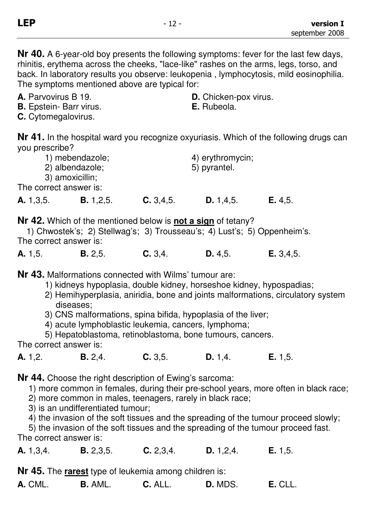**Nr 40.** A 6-year-old boy presents the following symptoms: fever for the last few days, rhinitis, erythema across the cheeks, "lace-like" rashes on the arms, legs, torso, and back. In laboratory results you observe: leukopenia , lymphocytosis, mild eosinophilia. The symptoms mentioned above are typical for:

- **A.** Parvovirus B 19. **D.** Chicken-pox virus.
- **B.** Epstein- Barr virus. **E.** Rubeola.
- **C.** Cytomegalovirus.

**Nr 41.** In the hospital ward you recognize oxyuriasis. Which of the following drugs can you prescribe?

|                        | 1) mebendazole;<br>2) albendazole;<br>3) amoxicillin; |             | 4) erythromycin;<br>5) pyrantel. |         |
|------------------------|-------------------------------------------------------|-------------|----------------------------------|---------|
| The correct answer is: |                                                       |             |                                  |         |
| A. 1,3,5.              | <b>B.</b> 1,2,5.                                      | C. 3, 4, 5. | D. 1, 4, 5.                      | E. 4.5. |

**Nr 42.** Which of the mentioned below is **not a sign** of tetany?

1) Chwostek's; 2) Stellwag's; 3) Trousseau's; 4) Lust's; 5) Oppenheim's. The correct answer is:

**A.** 1,5. **B.** 2,5. **C.** 3,4. **D.** 4,5. **E.** 3,4,5.

**Nr 43.** Malformations connected with Wilms' tumour are:

- 1) kidneys hypoplasia, double kidney, horseshoe kidney, hypospadias;
- 2) Hemihyperplasia, aniridia, bone and joints malformations, circulatory system diseases;
- 3) CNS malformations, spina bifida, hypoplasia of the liver;
- 4) acute lymphoblastic leukemia, cancers, lymphoma;

5) Hepatoblastoma, retinoblastoma, bone tumours, cancers.

The correct answer is:

**A.** 1,2. **B.** 2,4. **C.** 3,5. **D.** 1,4. **E.** 1,5.

**Nr 44.** Choose the right description of Ewing's sarcoma:

1) more common in females, during their pre-school years, more often in black race;

2) more common in males, teenagers, rarely in black race;

- 3) is an undifferentiated tumour;
- 4) the invasion of the soft tissues and the spreading of the tumour proceed slowly;

5) the invasion of the soft tissues and the spreading of the tumour proceed fast.

The correct answer is:

**A.** 1,3,4. **B.** 2,3,5. **C.** 2,3,4. **D.** 1,2,4. **E.** 1,5.

**Nr 45.** The **rarest** type of leukemia among children is:

| A. CML.<br>D. MDS.<br><b>B.</b> AML.<br><b>C.</b> ALL. | E. CLL. |
|--------------------------------------------------------|---------|
|--------------------------------------------------------|---------|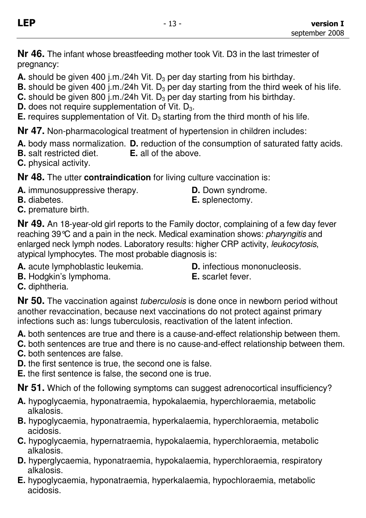**Nr 46.** The infant whose breastfeeding mother took Vit. D3 in the last trimester of pregnancy:

**A.** should be given 400 j.m./24h Vit. D<sub>3</sub> per day starting from his birthday.

**B.** should be given 400 j.m./24h Vit. D<sub>3</sub> per day starting from the third week of his life.

**C.** should be given 800 j.m./24h Vit. D<sub>3</sub> per day starting from his birthday.

**D.** does not require supplementation of Vit. D<sub>3</sub>.

**E.** requires supplementation of Vit.  $D_3$  starting from the third month of his life.

**Nr 47.** Non-pharmacological treatment of hypertension in children includes:

**A.** body mass normalization. **D.** reduction of the consumption of saturated fatty acids.

**B.** salt restricted diet. **E.** all of the above.

**C.** physical activity.

**Nr 48.** The utter **contraindication** for living culture vaccination is:

- **A.** immunosuppressive therapy. **D.** Down syndrome.
	-
- **B.** diabetes. **E.** splenectomy.
- **C.** premature birth.

**Nr 49.** An 18-year-old girl reports to the Family doctor, complaining of a few day fever reaching 39°C and a pain in the neck. Medical examination shows: pharyngitis and enlarged neck lymph nodes. Laboratory results: higher CRP activity, leukocytosis, atypical lymphocytes. The most probable diagnosis is:

- **A.** acute lymphoblastic leukemia. **D.** infectious mononucleosis.
	-
- **B.** Hodgkin's lymphoma. **E.** scarlet fever.
	-

**C.** diphtheria.

**Nr 50.** The vaccination against tuberculosis is done once in newborn period without another revaccination, because next vaccinations do not protect against primary infections such as: lungs tuberculosis, reactivation of the latent infection.

**A.** both sentences are true and there is a cause-and-effect relationship between them.

**C.** both sentences are true and there is no cause-and-effect relationship between them. **C.** both sentences are false.

- 
- **D.** the first sentence is true, the second one is false.
- **E.** the first sentence is false, the second one is true.

**Nr 51.** Which of the following symptoms can suggest adrenocortical insufficiency?

- **A.** hypoglycaemia, hyponatraemia, hypokalaemia, hyperchloraemia, metabolic alkalosis.
- **B.** hypoglycaemia, hyponatraemia, hyperkalaemia, hyperchloraemia, metabolic acidosis.
- **C.** hypoglycaemia, hypernatraemia, hypokalaemia, hyperchloraemia, metabolic alkalosis.
- **D.** hyperglycaemia, hyponatraemia, hypokalaemia, hyperchloraemia, respiratory alkalosis.
- **E.** hypoglycaemia, hyponatraemia, hyperkalaemia, hypochloraemia, metabolic acidosis.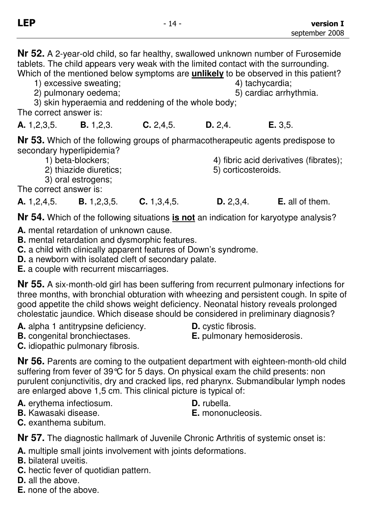**Nr 52.** A 2-year-old child, so far healthy, swallowed unknown number of Furosemide tablets. The child appears very weak with the limited contact with the surrounding. Which of the mentioned below symptoms are **unlikely** to be observed in this patient? 1) excessive sweating; excessive sweating; excessive sweating; and the state of the state of the state of the state of the state of the state of the state of the state of the state of the state of the state of the state of 2) pulmonary oedema;  $\qquad \qquad$  5) cardiac arrhythmia. 3) skin hyperaemia and reddening of the whole body;

The correct answer is:

**A.** 1,2,3,5. **B.** 1,2,3. **C.** 2,4,5. **D.** 2,4. **E.** 3,5.

**Nr 53.** Which of the following groups of pharmacotherapeutic agents predispose to secondary hyperlipidemia?

- 
- 2) thiazide diuretics; 5) corticosteroids.

1) beta-blockers; 4) fibric acid derivatives (fibrates);

3) oral estrogens; The correct answer is:

**A.** 1,2,4,5. **B.** 1,2,3,5. **C.** 1,3,4,5. **D.** 2,3,4. **E.** all of them.

**Nr 54.** Which of the following situations **is not** an indication for karyotype analysis?

- **A.** mental retardation of unknown cause.
- **B.** mental retardation and dysmorphic features.
- **C.** a child with clinically apparent features of Down's syndrome.
- **D.** a newborn with isolated cleft of secondary palate.

**E.** a couple with recurrent miscarriages.

**Nr 55.** A six-month-old girl has been suffering from recurrent pulmonary infections for three months, with bronchial obturation with wheezing and persistent cough. In spite of good appetite the child shows weight deficiency. Neonatal history reveals prolonged cholestatic jaundice. Which disease should be considered in preliminary diagnosis?

- **A.** alpha 1 antitrypsine deficiency. **D.** cystic fibrosis.
- 
- **C.** idiopathic pulmonary fibrosis.

**Nr 56.** Parents are coming to the outpatient department with eighteen-month-old child suffering from fever of 39 °C for 5 days. On physical exam the child presents: non purulent conjunctivitis, dry and cracked lips, red pharynx. Submandibular lymph nodes are enlarged above 1,5 cm. This clinical picture is typical of:

- **A.** erythema infectiosum. **D.** rubella.
- **B.** Kawasaki disease. **E.** mononucleosis.
- **C.** exanthema subitum.

**Nr 57.** The diagnostic hallmark of Juvenile Chronic Arthritis of systemic onset is:

**A.** multiple small joints involvement with joints deformations.

- **B.** bilateral uveitis.
- **C.** hectic fever of quotidian pattern.
- **D.** all the above.
- **E.** none of the above.

**B.** congenital bronchiectases. **E.** pulmonary hemosiderosis.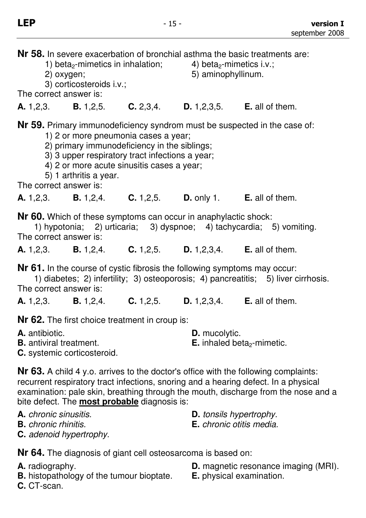5) aminophyllinum.

**Nr 58.** In severe exacerbation of bronchial asthma the basic treatments are:

- 1) beta<sub>2</sub>-mimetics in inhalation;  $\begin{array}{c} 4 \text{} \\ 5 \text{)}$  aminophyllinum.
	-
- 3) corticosteroids i.v.;

The correct answer is:

**A.** 1,2,3. **B.** 1,2,5. **C.** 2,3,4. **D.** 1,2,3,5. **E.** all of them.

**Nr 59.** Primary immunodeficiency syndrom must be suspected in the case of:

- 1) 2 or more pneumonia cases a year;
- 2) primary immunodeficiency in the siblings;
- 3) 3 upper respiratory tract infections a year;
- 4) 2 or more acute sinusitis cases a year;
- 5) 1 arthritis a year.

The correct answer is:

**A.** 1,2,3. **B.** 1,2,4. **C.** 1,2,5. **D.** only 1. **E.** all of them.

**Nr 60.** Which of these symptoms can occur in anaphylactic shock:

1) hypotonia; 2) urticaria; 3) dyspnoe; 4) tachycardia; 5) vomiting. The correct answer is:

**A.** 1,2,3. **B.** 1,2,4. **C.** 1,2,5. **D.** 1,2,3,4. **E.** all of them.

**Nr 61.** In the course of cystic fibrosis the following symptoms may occur:

1) diabetes; 2) infertility; 3) osteoporosis; 4) pancreatitis; 5) liver cirrhosis. The correct answer is:

**A.** 1,2,3. **B.** 1,2,4. **C.** 1,2,5. **D.** 1,2,3,4. **E.** all of them.

**Nr 62.** The first choice treatment in croup is:

| A. antibiotic.                 | <b>D.</b> mucolytic.                          |
|--------------------------------|-----------------------------------------------|
| <b>B.</b> antiviral treatment. | <b>E.</b> inhaled beta <sub>2</sub> -mimetic. |

**C.** systemic corticosteroid.

**Nr 63.** A child 4 y.o. arrives to the doctor's office with the following complaints: recurrent respiratory tract infections, snoring and a hearing defect. In a physical examination: pale skin, breathing through the mouth, discharge from the nose and a bite defect. The **most probable** diagnosis is:

- **A.** chronic sinusitis. **D.** tonsils hypertrophy.
- **B.** chronic rhinitis. **E.** chronic otitis media.
- **C.** adenoid hypertrophy.

**Nr 64.** The diagnosis of giant cell osteosarcoma is based on:

- 
- **B.** histopathology of the tumour bioptate.
	-
- **A.** radiography. **D.** magnetic resonance imaging (MRI).<br>**B.** histopathology of the tumour bioptate. **E.** physical examination.
	-

**C.** CT-scan.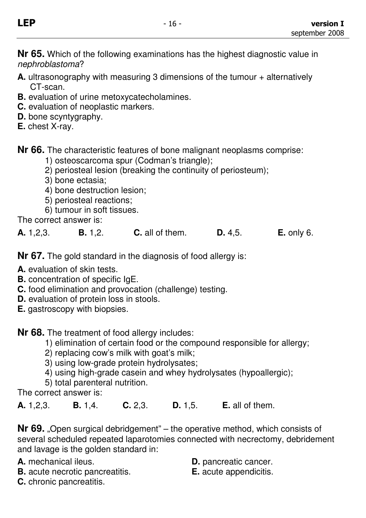**Nr 65.** Which of the following examinations has the highest diagnostic value in nephroblastoma?

- **A.** ultrasonography with measuring 3 dimensions of the tumour + alternatively CT-scan.
- **B.** evaluation of urine metoxycatecholamines.
- **C.** evaluation of neoplastic markers.
- **D.** bone scyntygraphy.
- **E.** chest X-ray.

**Nr 66.** The characteristic features of bone malignant neoplasms comprise:

- 1) osteoscarcoma spur (Codman's triangle);
- 2) periosteal lesion (breaking the continuity of periosteum);
- 3) bone ectasia;
- 4) bone destruction lesion;
- 5) periosteal reactions;
- 6) tumour in soft tissues.

The correct answer is:

|  | A. 1, 2, 3. | <b>B.</b> $1,2$ . | <b>C.</b> all of them. | D. 4, 5. | $E.$ only 6. |
|--|-------------|-------------------|------------------------|----------|--------------|
|--|-------------|-------------------|------------------------|----------|--------------|

**Nr 67.** The gold standard in the diagnosis of food allergy is:

- **A.** evaluation of skin tests.
- **B.** concentration of specific IgE.
- **C.** food elimination and provocation (challenge) testing.
- **D.** evaluation of protein loss in stools.
- **E.** gastroscopy with biopsies.

**Nr 68.** The treatment of food allergy includes:

- 1) elimination of certain food or the compound responsible for allergy;
- 2) replacing cow's milk with goat's milk;
- 3) using low-grade protein hydrolysates;
- 4) using high-grade casein and whey hydrolysates (hypoallergic);
- 5) total parenteral nutrition.

The correct answer is:

**A.** 1,2,3. **B.** 1,4. **C.** 2,3. **D.** 1,5. **E.** all of them.

**Nr 69.** "Open surgical debridgement" – the operative method, which consists of several scheduled repeated laparotomies connected with necrectomy, debridement and lavage is the golden standard in:

- **A.** mechanical ileus. **D.** pancreatic cancer.<br>**B.** acute necrotic pancreatitis. **E.** acute appendicitis. **B.** acute necrotic pancreatitis.
- -

**C.** chronic pancreatitis.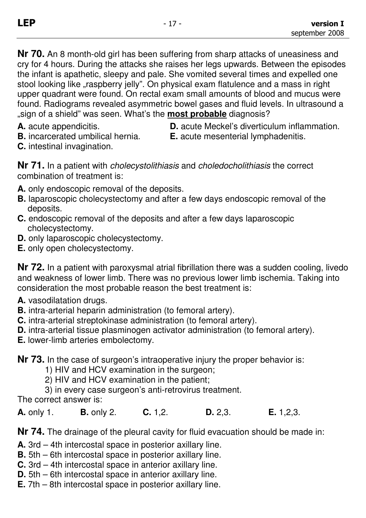**Nr 70.** An 8 month-old girl has been suffering from sharp attacks of uneasiness and cry for 4 hours. During the attacks she raises her legs upwards. Between the episodes the infant is apathetic, sleepy and pale. She vomited several times and expelled one stool looking like "raspberry jelly". On physical exam flatulence and a mass in right upper quadrant were found. On rectal exam small amounts of blood and mucus were found. Radiograms revealed asymmetric bowel gases and fluid levels. In ultrasound a "sign of a shield" was seen. What's the **most probable** diagnosis?

- 
- 
- **A.** acute appendicitis. **D.** acute Meckel's diverticulum inflammation.

**B.** incarcerated umbilical hernia. **E.** acute mesenterial lymphadenitis.

**C.** intestinal invagination.

**Nr 71.** In a patient with cholecystolithiasis and choledocholithiasis the correct combination of treatment is:

- **A.** only endoscopic removal of the deposits.
- **B.** laparoscopic cholecystectomy and after a few days endoscopic removal of the deposits.
- **C.** endoscopic removal of the deposits and after a few days laparoscopic cholecystectomy.
- **D.** only laparoscopic cholecystectomy.
- **E.** only open cholecystectomy.

**Nr 72.** In a patient with paroxysmal atrial fibrillation there was a sudden cooling, livedo and weakness of lower limb. There was no previous lower limb ischemia. Taking into consideration the most probable reason the best treatment is:

- **A.** vasodilatation drugs.
- **B.** intra-arterial heparin administration (to femoral artery).
- **C.** intra-arterial streptokinase administration (to femoral artery).
- **D.** intra-arterial tissue plasminogen activator administration (to femoral artery).

**E.** lower-limb arteries embolectomy.

**Nr 73.** In the case of surgeon's intraoperative injury the proper behavior is:

- 1) HIV and HCV examination in the surgeon;
- 2) HIV and HCV examination in the patient;
- 3) in every case surgeon's anti-retrovirus treatment.

The correct answer is:

**A.** only 1. **B.** only 2. **C.** 1,2. **D.** 2,3. **E.** 1,2,3.

**Nr 74.** The drainage of the pleural cavity for fluid evacuation should be made in:

- **A.** 3rd 4th intercostal space in posterior axillary line.
- **B.** 5th 6th intercostal space in posterior axillary line.
- **C.** 3rd 4th intercostal space in anterior axillary line.
- **D.** 5th 6th intercostal space in anterior axillary line.
- **E.** 7th 8th intercostal space in posterior axillary line.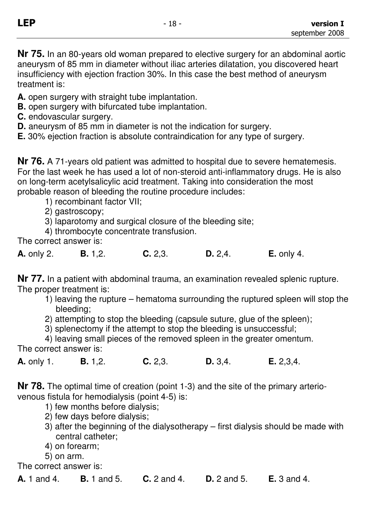**Nr 75.** In an 80-years old woman prepared to elective surgery for an abdominal aortic aneurysm of 85 mm in diameter without iliac arteries dilatation, you discovered heart insufficiency with ejection fraction 30%. In this case the best method of aneurysm treatment is:

**A.** open surgery with straight tube implantation.

- **B.** open surgery with bifurcated tube implantation.
- **C.** endovascular surgery.
- **D.** aneurysm of 85 mm in diameter is not the indication for surgery.

**E.** 30% ejection fraction is absolute contraindication for any type of surgery.

**Nr 76.** A 71-years old patient was admitted to hospital due to severe hematemesis. For the last week he has used a lot of non-steroid anti-inflammatory drugs. He is also on long-term acetylsalicylic acid treatment. Taking into consideration the most probable reason of bleeding the routine procedure includes:

1) recombinant factor VII;

2) gastroscopy;

3) laparotomy and surgical closure of the bleeding site;

4) thrombocyte concentrate transfusion.

The correct answer is:

| <b>A.</b> only 2. | <b>B.</b> $1,2$ . | C. 2,3. | D. 2, 4. | $E.$ only 4. |
|-------------------|-------------------|---------|----------|--------------|
|                   |                   |         |          |              |

**Nr 77.** In a patient with abdominal trauma, an examination revealed splenic rupture. The proper treatment is:

- 1) leaving the rupture hematoma surrounding the ruptured spleen will stop the bleeding;
- 2) attempting to stop the bleeding (capsule suture, glue of the spleen);

3) splenectomy if the attempt to stop the bleeding is unsuccessful;

4) leaving small pieces of the removed spleen in the greater omentum. The correct answer is:

**A.** only 1. **B.** 1,2. **C.** 2,3. **D.** 3,4. **E.** 2,3,4.

**Nr 78.** The optimal time of creation (point 1-3) and the site of the primary arteriovenous fistula for hemodialysis (point 4-5) is:

- 1) few months before dialysis;
- 2) few days before dialysis;
- 3) after the beginning of the dialysotherapy first dialysis should be made with central catheter;
- 4) on forearm;
- 5) on arm.

The correct answer is:

**A.** 1 and 4. **B.** 1 and 5. **C.** 2 and 4. **D.** 2 and 5. **E.** 3 and 4.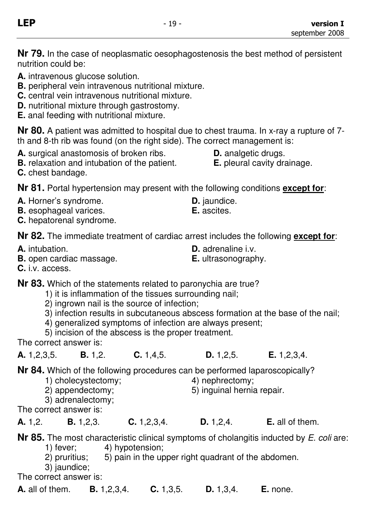**Nr 79.** In the case of neoplasmatic oesophagostenosis the best method of persistent nutrition could be:

**A.** intravenous glucose solution.

- **B.** peripheral vein intravenous nutritional mixture.
- **C.** central vein intravenous nutritional mixture.
- **D.** nutritional mixture through gastrostomy.
- **E.** anal feeding with nutritional mixture.

**Nr 80.** A patient was admitted to hospital due to chest trauma. In x-ray a rupture of 7 th and 8-th rib was found (on the right side). The correct management is:

- **A.** surgical anastomosis of broken ribs. **D.** analgetic drugs.
- **B.** relaxation and intubation of the patient. **E.** pleural cavity drainage.
- **C.** chest bandage.

**Nr 81.** Portal hypertension may present with the following conditions **except for**:

- **A.** Horner's syndrome. **D.** jaundice.
- **B.** esophageal varices. **E.** ascites.
- **C.** hepatorenal syndrome.

**Nr 82.** The immediate treatment of cardiac arrest includes the following **except for**:

**A.** intubation. **D.** adrenaline i.v.

- **B.** open cardiac massage. **E.** ultrasonography.
- 

**C.** i.v. access.

**Nr 83.** Which of the statements related to paronychia are true?

- 1) it is inflammation of the tissues surrounding nail;
- 2) ingrown nail is the source of infection;
- 3) infection results in subcutaneous abscess formation at the base of the nail;
- 4) generalized symptoms of infection are always present;
- 5) incision of the abscess is the proper treatment.

The correct answer is:

**A.** 1,2,3,5. **B.** 1,2. **C.** 1,4,5. **D.** 1,2,5. **E.** 1,2,3,4.

**Nr 84.** Which of the following procedures can be performed laparoscopically?<br>1) cholecystectomy: 4) nephrectomy:

- 1) cholecystectomy:
- 2) appendectomy; 5) inguinal hernia repair.
- 3) adrenalectomy;

The correct answer is:

| A. 1,2. | <b>B.</b> $1,2,3$ . | C. 1, 2, 3, 4. | D. 1, 2, 4. | <b>E.</b> all of them. |
|---------|---------------------|----------------|-------------|------------------------|
|---------|---------------------|----------------|-------------|------------------------|

**Nr 85.** The most characteristic clinical symptoms of cholangitis inducted by E. coli are:

- 1) fever; 4) hypotension;
- 2) pruritius; 5) pain in the upper right quadrant of the abdomen.
- 3) jaundice;

The correct answer is:

**A.** all of them. **B.** 1,2,3,4. **C.** 1,3,5. **D.** 1,3,4. **E.** none.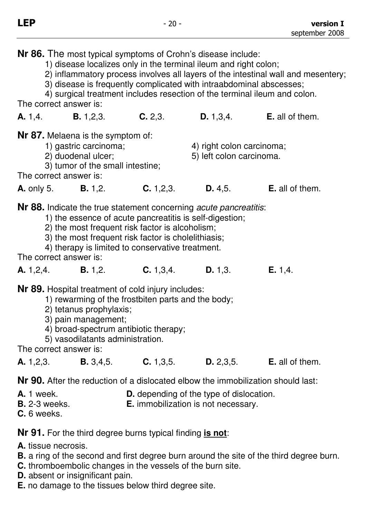**Nr 86.** The most typical symptoms of Crohn's disease include:

1) disease localizes only in the terminal ileum and right colon;

2) inflammatory process involves all layers of the intestinal wall and mesentery;

3) disease is frequently complicated with intraabdominal abscesses;

4) surgical treatment includes resection of the terminal ileum and colon.

The correct answer is:

| A. 1, 4.          | <b>B.</b> $1,2,3$ .                      | C. 2,3.     | D. 1, 3, 4.               | <b>E.</b> all of them. |
|-------------------|------------------------------------------|-------------|---------------------------|------------------------|
|                   | <b>Nr 87.</b> Melaena is the symptom of: |             |                           |                        |
|                   | 1) gastric carcinoma;                    |             | 4) right colon carcinoma; |                        |
|                   | 2) duodenal ulcer;                       |             | 5) left colon carcinoma.  |                        |
|                   | 3) tumor of the small intestine;         |             |                           |                        |
|                   | The correct answer is:                   |             |                           |                        |
| <b>A.</b> only 5. | B. 1, 2.                                 | C. 1, 2, 3. | D. 4.5.                   | <b>E.</b> all of them. |
|                   |                                          |             |                           |                        |

**Nr 88.** Indicate the true statement concerning *acute pancreatitis*:

- 1) the essence of acute pancreatitis is self-digestion;
- 2) the most frequent risk factor is alcoholism;
- 3) the most frequent risk factor is cholelithiasis;
- 4) therapy is limited to conservative treatment.

The correct answer is:

**A.** 1,2,4. **B.** 1,2. **C.** 1,3,4. **D.** 1,3. **E.** 1,4.

**Nr 89.** Hospital treatment of cold injury includes:

- 1) rewarming of the frostbiten parts and the body;
- 2) tetanus prophylaxis;
- 3) pain management;
- 4) broad-spectrum antibiotic therapy;
- 5) vasodilatants administration.

The correct answer is:

|  | A. 1,2,3. | B. 3, 4, 5. | C. 1, 3, 5. | D. 2, 3, 5. | <b>E.</b> all of them. |
|--|-----------|-------------|-------------|-------------|------------------------|
|--|-----------|-------------|-------------|-------------|------------------------|

**Nr 90.** After the reduction of a dislocated elbow the immobilization should last:

- **A.** 1 week. **D.** depending of the type of dislocation.
- **B.** 2-3 weeks. **E.** immobilization is not necessary.
- **C.** 6 weeks.

**Nr 91.** For the third degree burns typical finding **is not**:

**A.** tissue necrosis.

- **B.** a ring of the second and first degree burn around the site of the third degree burn.
- **C.** thromboembolic changes in the vessels of the burn site.
- **D.** absent or insignificant pain.
- **E.** no damage to the tissues below third degree site.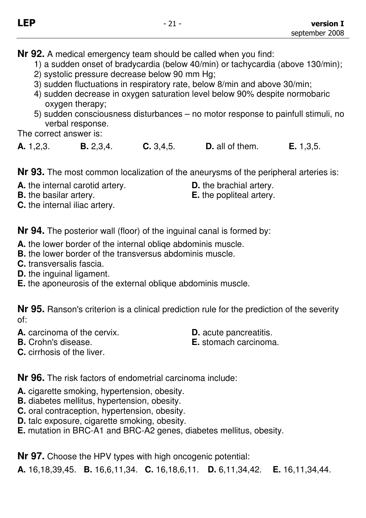- 1) a sudden onset of bradycardia (below 40/min) or tachycardia (above 130/min);
- 2) systolic pressure decrease below 90 mm Hg;
- 3) sudden fluctuations in respiratory rate, below 8/min and above 30/min;
- 4) sudden decrease in oxygen saturation level below 90% despite normobaric oxygen therapy;
- 5) sudden consciousness disturbances no motor response to painfull stimuli, no verbal response.

The correct answer is:

| C. 3, 4, 5.<br>A. 1, 2, 3.<br><b>D.</b> all of them.<br>B. 2, 3, 4. | E. 1, 3, 5. |
|---------------------------------------------------------------------|-------------|
|---------------------------------------------------------------------|-------------|

**Nr 93.** The most common localization of the aneurysms of the peripheral arteries is:

**A.** the internal carotid artery. **D.** the brachial artery.

**B.** the basilar artery. **E.** the popliteal artery.

**C.** the internal iliac artery.

**Nr 94.** The posterior wall (floor) of the inguinal canal is formed by:

- **A.** the lower border of the internal obliqe abdominis muscle.
- **B.** the lower border of the transversus abdominis muscle.
- **C.** transversalis fascia.
- **D.** the inguinal ligament.
- **E.** the aponeurosis of the external oblique abdominis muscle.

**Nr 95.** Ranson's criterion is a clinical prediction rule for the prediction of the severity of:

- **A.** carcinoma of the cervix. **D.** acute pancreatitis.
- 
- **B.** Crohn's disease. **E.** stomach carcinoma.
- **C.** cirrhosis of the liver.

**Nr 96.** The risk factors of endometrial carcinoma include:

- **A.** cigarette smoking, hypertension, obesity.
- **B.** diabetes mellitus, hypertension, obesity.
- **C.** oral contraception, hypertension, obesity.
- **D.** talc exposure, cigarette smoking, obesity.
- **E.** mutation in BRC-A1 and BRC-A2 genes, diabetes mellitus, obesity.

**Nr 97.** Choose the HPV types with high oncogenic potential:

**A.** 16,18,39,45. **B.** 16,6,11,34. **C.** 16,18,6,11. **D.** 6,11,34,42. **E.** 16,11,34,44.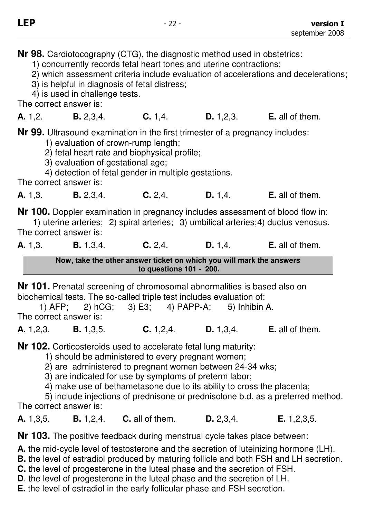**Nr 98.** Cardiotocography (CTG), the diagnostic method used in obstetrics:

1) concurrently records fetal heart tones and uterine contractions;

2) which assessment criteria include evaluation of accelerations and decelerations;

3) is helpful in diagnosis of fetal distress;

4) is used in challenge tests.

The correct answer is:

**A.** 1,2. **B.** 2,3,4. **C.** 1,4. **D.** 1,2,3. **E.** all of them.

**Nr 99.** Ultrasound examination in the first trimester of a pregnancy includes:

1) evaluation of crown-rump length;

- 2) fetal heart rate and biophysical profile;
- 3) evaluation of gestational age;

4) detection of fetal gender in multiple gestations.

The correct answer is:

**A.** 1,3. **B.** 2,3,4. **C.** 2,4. **D.** 1,4. **E.** all of them.

**Nr 100.** Doppler examination in pregnancy includes assessment of blood flow in:

1) uterine arteries; 2) spiral arteries; 3) umbilical arteries; 4) ductus venosus. The correct answer is:

**A.** 1,3. **B.** 1,3,4. **C.** 2,4. **D.** 1,4. **E.** all of them.

**Now, take the other answer ticket on which you will mark the answers to questions 101 - 200.** 

**Nr 101.** Prenatal screening of chromosomal abnormalities is based also on biochemical tests. The so-called triple test includes evaluation of:

1) AFP; 2) hCG; 3) E3; 4) PAPP-A; 5) Inhibin A. The correct answer is:

**A.** 1,2,3. **B.** 1,3,5. **C.** 1,2,4. **D.** 1,3,4. **E.** all of them.

**Nr 102.** Corticosteroids used to accelerate fetal lung maturity:

1) should be administered to every pregnant women;

2) are administered to pregnant women between 24-34 wks;

3) are indicated for use by symptoms of preterm labor;

4) make use of bethametasone due to its ability to cross the placenta;

5) include injections of prednisone or prednisolone b.d. as a preferred method. The correct answer is:

**A.** 1,3,5. **B.** 1,2,4. **C.** all of them. **D.** 2,3,4. **E.** 1,2,3,5.

**Nr 103.** The positive feedback during menstrual cycle takes place between:

**A.** the mid-cycle level of testosterone and the secretion of luteinizing hormone (LH).

**B.** the level of estradiol produced by maturing follicle and both FSH and LH secretion.

- **C.** the level of progesterone in the luteal phase and the secretion of FSH.
- **D**. the level of progesterone in the luteal phase and the secretion of LH.
- **E.** the level of estradiol in the early follicular phase and FSH secretion.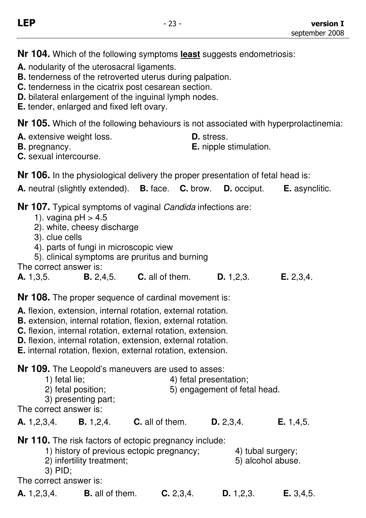**Nr 104.** Which of the following symptoms **least** suggests endometriosis:

- **A.** nodularity of the uterosacral ligaments.
- **B.** tenderness of the retroverted uterus during palpation.
- **C.** tenderness in the cicatrix post cesarean section.
- **D.** bilateral enlargement of the inguinal lymph nodes.
- **E.** tender, enlarged and fixed left ovary.

**Nr 105.** Which of the following behaviours is not associated with hyperprolactinemia:

- **A.** extensive weight loss. **D.** stress.<br>**B.** pregnancy. **E.** nipple s
	-

**E.** nipple stimulation.

**C.** sexual intercourse.

**Nr 106.** In the physiological delivery the proper presentation of fetal head is:

**A.** neutral (slightly extended). **B.** face. **C.** brow. **D.** occiput. **E.** asynclitic.

**Nr 107.** Typical symptoms of vaginal Candida infections are:

- 1). vagina  $pH > 4.5$
- 2). white, cheesy discharge
- 3). clue cells
- 4). parts of fungi in microscopic view
- 5). clinical symptoms are pruritus and burning
- The correct answer is:

**A.** 1,3,5. **B.** 2,4,5. **C.** all of them. **D.** 1,2,3. **E.** 2,3,4.

**Nr 108.** The proper sequence of cardinal movement is:

- **A.** flexion, extension, internal rotation, external rotation.
- **B.** extension, internal rotation, flexion, external rotation.
- **C.** flexion, internal rotation, external rotation, extension.
- **D.** flexion, internal rotation, extension, external rotation.
- **E.** internal rotation, flexion, external rotation, extension.

**Nr 109.** The Leopold's maneuvers are used to asses:

- 1) fetal lie;  $\begin{array}{ccc} 4 \end{array}$  fetal presentation;
- $2)$  fetal position;  $5)$  engagement of fetal head.

3) presenting part;

The correct answer is:

| A. 1,2,3,4.<br><b>B.</b> $1,2,4$ . | <b>C.</b> all of them. | D. 2, 3, 4. | <b>E.</b> 1,4,5. |
|------------------------------------|------------------------|-------------|------------------|
|------------------------------------|------------------------|-------------|------------------|

**Nr 110.** The risk factors of ectopic pregnancy include:

- 1) history of previous ectopic pregnancy; 4) tubal surgery;
- 2) infertility treatment: 5) alcohol abuse.
- 3) PID;

The correct answer is:

**A.** 1,2,3,4. **B.** all of them. **C.** 2,3,4. **D.** 1,2,3. **E.** 3,4,5.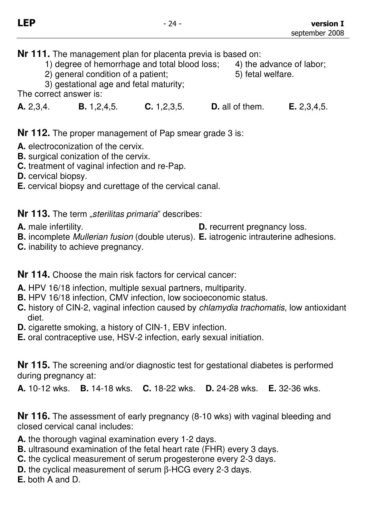- 1) degree of hemorrhage and total blood loss; 4) the advance of labor;
- $2)$  general condition of a patient;  $5)$  fetal welfare.
- 3) gestational age and fetal maturity;

The correct answer is:

**A.** 2,3,4. **B.** 1,2,4,5. **C.** 1,2,3,5. **D.** all of them. **E.** 2,3,4,5.

**Nr 112.** The proper management of Pap smear grade 3 is:

- **A.** electroconization of the cervix.
- **B.** surgical conization of the cervix.
- **C.** treatment of vaginal infection and re-Pap.
- **D.** cervical biopsy.
- **E.** cervical biopsy and curettage of the cervical canal.

**Nr 113.** The term "sterilitas primaria" describes:

**A.** male infertility. **D.** recurrent pregnancy loss.

- **B.** incomplete Mullerian fusion (double uterus). **E.** iatrogenic intrauterine adhesions.
- **C.** inability to achieve pregnancy.

**Nr 114.** Choose the main risk factors for cervical cancer:

- **A.** HPV 16/18 infection, multiple sexual partners, multiparity.
- **B.** HPV 16/18 infection, CMV infection, low socioeconomic status.
- **C.** history of CIN-2, vaginal infection caused by chlamydia trachomatis, low antioxidant diet.
- **D.** cigarette smoking, a history of CIN-1, EBV infection.
- **E.** oral contraceptive use, HSV-2 infection, early sexual initiation.

**Nr 115.** The screening and/or diagnostic test for gestational diabetes is performed during pregnancy at:

**A.** 10-12 wks. **B.** 14-18 wks. **C.** 18-22 wks. **D.** 24-28 wks. **E.** 32-36 wks.

**Nr 116.** The assessment of early pregnancy (8-10 wks) with vaginal bleeding and closed cervical canal includes:

- **A.** the thorough vaginal examination every 1-2 days.
- **B.** ultrasound examination of the fetal heart rate (FHR) every 3 days.
- **C.** the cyclical measurement of serum progesterone every 2-3 days.
- **D.** the cyclical measurement of serum β-HCG every 2-3 days.

**E.** both A and D.

- -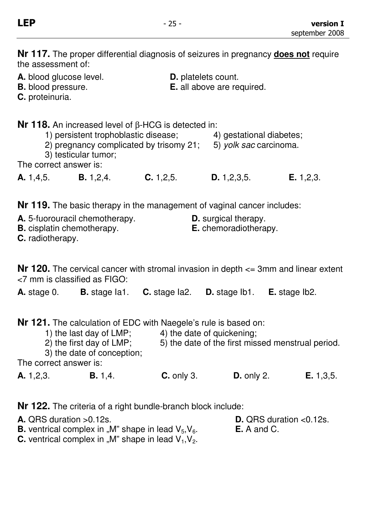**Nr 117.** The proper differential diagnosis of seizures in pregnancy **does not** require the assessment of:

**A.** blood glucose level. **D.** platelets count.<br>**B.** blood pressure. **B. E.** all above are re **E.** all above are required. **C.** proteinuria. **Nr 118.** An increased level of β-HCG is detected in: 1) persistent trophoblastic disease; 4) gestational diabetes; 2) pregnancy complicated by trisomy  $21$ ; 5) yolk sac carcinoma. 3) testicular tumor; The correct answer is: **A.** 1,4,5. **B.** 1,2,4. **C.** 1,2,5. **D.** 1,2,3,5. **E.** 1,2,3.

**Nr 119.** The basic therapy in the management of vaginal cancer includes:

| <b>A.</b> 5-fuorouracil chemotherapy. | <b>D.</b> surgical therapy.  |
|---------------------------------------|------------------------------|
| <b>B.</b> cisplatin chemotherapy.     | <b>E.</b> chemoradiotherapy. |
| <b>C.</b> radiotherapy.               |                              |

**Nr 120.** The cervical cancer with stromal invasion in depth  $\leq$  3mm and linear extent <7 mm is classified as FIGO:

**A.** stage 0. **B.** stage Ia1. **C.** stage Ia2. **D.** stage Ib1. **E.** stage Ib2.

**Nr 121.** The calculation of EDC with Naegele's rule is based on:

- 1) the last day of  $LMP$ ; 4) the date of quickening;
- 2) the first day of LMP; 5) the date of the first missed menstrual period.

3) the date of conception;

The correct answer is:

**A.** 1,2,3. **B.** 1,4. **C.** only 3. **D.** only 2. **E.** 1,3,5.

**Nr 122.** The criteria of a right bundle-branch block include:

**A.** QRS duration >0.12s. **D.** QRS duration <0.12s.

**B.** ventrical complex in "M" shape in lead  $V_5$ ,  $V_6$ . **E.** A and C.

**C.** ventrical complex in "M" shape in lead  $V_1$ ,  $V_2$ .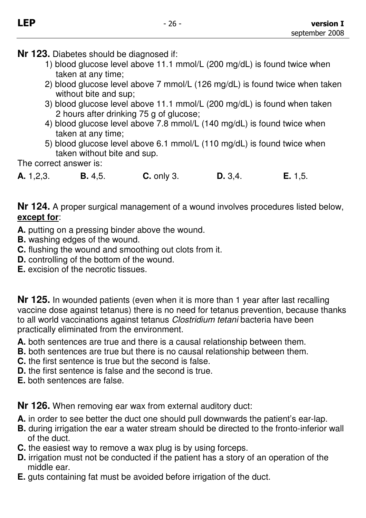**Nr 123.** Diabetes should be diagnosed if:

- 1) blood glucose level above 11.1 mmol/L (200 mg/dL) is found twice when taken at any time;
- 2) blood glucose level above 7 mmol/L (126 mg/dL) is found twice when taken without bite and sup;
- 3) blood glucose level above 11.1 mmol/L (200 mg/dL) is found when taken 2 hours after drinking 75 g of glucose;
- 4) blood glucose level above 7.8 mmol/L (140 mg/dL) is found twice when taken at any time;
- 5) blood glucose level above 6.1 mmol/L (110 mg/dL) is found twice when taken without bite and sup.

The correct answer is:

**A.** 1,2,3. **B.** 4,5. **C.** only 3. **D.** 3,4. **E.** 1,5.

**Nr 124.** A proper surgical management of a wound involves procedures listed below, **except for**:

- **A.** putting on a pressing binder above the wound.
- **B.** washing edges of the wound.
- **C.** flushing the wound and smoothing out clots from it.
- **D.** controlling of the bottom of the wound.
- **E.** excision of the necrotic tissues.

**Nr 125.** In wounded patients (even when it is more than 1 year after last recalling vaccine dose against tetanus) there is no need for tetanus prevention, because thanks to all world vaccinations against tetanus Clostridium tetani bacteria have been practically eliminated from the environment.

- **A.** both sentences are true and there is a causal relationship between them.
- **B.** both sentences are true but there is no causal relationship between them.
- **C.** the first sentence is true but the second is false.
- **D.** the first sentence is false and the second is true.

**E.** both sentences are false.

**Nr 126.** When removing ear wax from external auditory duct:

- **A.** in order to see better the duct one should pull downwards the patient's ear-lap.
- **B.** during irrigation the ear a water stream should be directed to the fronto-inferior wall of the duct.
- **C.** the easiest way to remove a wax plug is by using forceps.
- **D.** irrigation must not be conducted if the patient has a story of an operation of the middle ear.
- **E.** guts containing fat must be avoided before irrigation of the duct.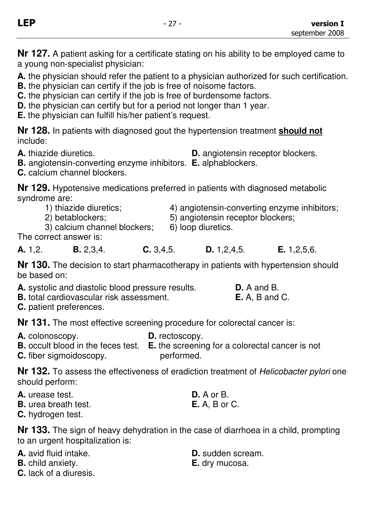**Nr 127.** A patient asking for a certificate stating on his ability to be employed came to a young non-specialist physician:

**A.** the physician should refer the patient to a physician authorized for such certification.

**B.** the physician can certify if the job is free of noisome factors.

**C.** the physician can certify if the job is free of burdensome factors.

**D.** the physician can certify but for a period not longer than 1 year.

**E.** the physician can fulfill his/her patient's request.

**Nr 128.** In patients with diagnosed gout the hypertension treatment **should not** include:

**A.** thiazide diuretics. **D.** angiotensin receptor blockers.

**B.** angiotensin-converting enzyme inhibitors. **E.** alphablockers.

**C.** calcium channel blockers.

**Nr 129.** Hypotensive medications preferred in patients with diagnosed metabolic syndrome are:<br>1) thiazide diuretics;

- 
- 

4) angiotensin-converting enzyme inhibitors;

2) betablockers;  $=$  5) angiotensin receptor blockers;<br>3) calcium channel blockers:  $=$  6) loop diuretics.

3) calcium channel blockers:

The correct answer is:

**A.** 1,2. **B.** 2,3,4. **C.** 3,4,5. **D.** 1,2,4,5. **E.** 1,2,5,6.

**Nr 130.** The decision to start pharmacotherapy in patients with hypertension should be based on:

| A. systolic and diastolic blood pressure results. | $D. A$ and B.         |
|---------------------------------------------------|-----------------------|
| <b>B.</b> total cardiovascular risk assessment.   | <b>E.</b> A, B and C. |

**C.** patient preferences.

**Nr 131.** The most effective screening procedure for colorectal cancer is:

**A.** colonoscopy. **D.** rectoscopy. **B.** occult blood in the feces test. **E.** the screening for a colorectal cancer is not

**C.** fiber sigmoidoscopy. **performed.** 

**Nr 132.** To assess the effectiveness of eradiction treatment of Helicobacter pylori one should perform:

- **A.** urease test. **D.** A or B.
- **B.** urea breath test. **E.** A, B or C.

**C.** hydrogen test.

**Nr 133.** The sign of heavy dehydration in the case of diarrhoea in a child, prompting to an urgent hospitalization is:

|  | <b>A.</b> avid fluid intake. |
|--|------------------------------|
|  |                              |

**B.** child anxiety. **E.** dry mucosa.

**C.** lack of a diuresis.

**D.** sudden scream.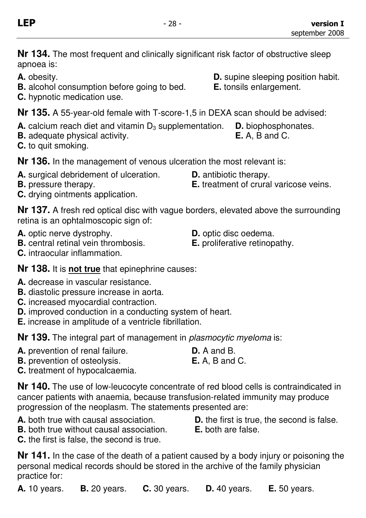**Nr 134.** The most frequent and clinically significant risk factor of obstructive sleep apnoea is:

- **A.** obesity. **A. A. obesity. D. D.** supine sleeping position habit.
- **B.** alcohol consumption before going to bed. **E.** tonsils enlargement.
- **C.** hypnotic medication use.

**Nr 135.** A 55-year-old female with T-score-1,5 in DEXA scan should be advised:

- **A.** calcium reach diet and vitamin D<sub>3</sub> supplementation. **D.** biophosphonates.
- **B.** adequate physical activity. **E.** A, B and C.
- **C.** to quit smoking.

**Nr 136.** In the management of venous ulceration the most relevant is:

- **A.** surgical debridement of ulceration. **D.** antibiotic therapy.
- 
- **C.** drying ointments application.

**Nr 137.** A fresh red optical disc with vague borders, elevated above the surrounding retina is an ophtalmoscopic sign of:

- **A.** optic nerve dystrophy. **D.** optic disc oedema.
- **B.** central retinal vein thrombosis. **E.** proliferative retinopathy.
- **C.** intraocular inflammation.

**Nr 138.** It is **not true** that epinephrine causes:

- **A.** decrease in vascular resistance.
- **B.** diastolic pressure increase in aorta.
- **C.** increased myocardial contraction.
- **D.** improved conduction in a conducting system of heart.
- **E.** increase in amplitude of a ventricle fibrillation.

**Nr 139.** The integral part of management in plasmocytic myeloma is:

- **A.** prevention of renal failure. **D.** A and B. **B.** prevention of osteolysis. **E.** A, B and C.
- **C.** treatment of hypocalcaemia.

**Nr 140.** The use of low-leucocyte concentrate of red blood cells is contraindicated in cancer patients with anaemia, because transfusion-related immunity may produce progression of the neoplasm. The statements presented are:

- **A.** both true with causal association. **D.** the first is true, the second is false.
- **B.** both true without causal association. **E.** both are false.
- **C.** the first is false, the second is true.

**Nr 141.** In the case of the death of a patient caused by a body injury or poisoning the personal medical records should be stored in the archive of the family physician practice for:

**A.** 10 years. **B.** 20 years. **C.** 30 years. **D.** 40 years. **E.** 50 years.

- 
- **B.** pressure therapy. **E.** treatment of crural varicose veins.
	-
	-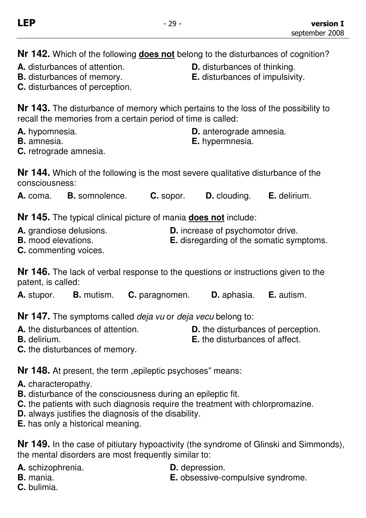**Nr 142.** Which of the following **does not** belong to the disturbances of cognition?

- **A.** disturbances of attention. **D.** disturbances of thinking.
- 
- 
- **B.** disturbances of memory. **E.** disturbances of impulsivity.
- **C.** disturbances of perception.

**Nr 143.** The disturbance of memory which pertains to the loss of the possibility to recall the memories from a certain period of time is called:

- **A.** hypomnesia. **D.** anterograde amnesia.
- **B.** amnesia. **E.** hypermnesia.
- **C.** retrograde amnesia.

**Nr 144.** Which of the following is the most severe qualitative disturbance of the consciousness:

**A.** coma. **B.** somnolence. **C.** sopor. **D.** clouding. **E.** delirium.

**Nr 145.** The typical clinical picture of mania **does not** include:

- **A.** grandiose delusions. **D.** increase of psychomotor drive.
- **B.** mood elevations. **E.** disregarding of the somatic symptoms.
- **C.** commenting voices.

**Nr 146.** The lack of verbal response to the questions or instructions given to the patent, is called:

**A.** stupor. **B.** mutism. **C.** paragnomen. **D.** aphasia. **E.** autism.

**Nr 147.** The symptoms called deja vu or deja vecu belong to:

- 
- **A.** the disturbances of attention. **D.** the disturbances of perception.
- 
- **B.** delirium. **B. E.** the disturbances of affect.
- **C.** the disturbances of memory.

**Nr 148.** At present, the term "epileptic psychoses" means:

- **A.** characteropathy.
- **B.** disturbance of the consciousness during an epileptic fit.
- **C.** the patients with such diagnosis require the treatment with chlorpromazine.
- **D.** always justifies the diagnosis of the disability.
- **E.** has only a historical meaning.

**Nr 149.** In the case of pitiutary hypoactivity (the syndrome of Glinski and Simmonds), the mental disorders are most frequently similar to:

- **A.** schizophrenia. **D.** depression.
	-
- 
- **B.** mania. **B. E.** obsessive-compulsive syndrome.
- **C.** bulimia.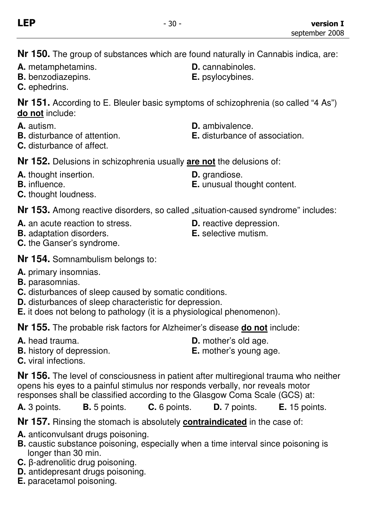**Nr 150.** The group of substances which are found naturally in Cannabis indica, are:

- **A.** metamphetamins. **D.** cannabinoles.
- **B.** benzodiazepins. **E.** psylocybines.
- **C.** ephedrins.

**Nr 151.** According to E. Bleuler basic symptoms of schizophrenia (so called "4 As") **do not** include:

- 
- 
- **C.** disturbance of affect.

**Nr 152.** Delusions in schizophrenia usually **are not** the delusions of:

- **A.** thought insertion. **D.** qrandiose.
- 
- **C.** thought loudness.

**Nr 153.** Among reactive disorders, so called "situation-caused syndrome" includes:

- **A.** an acute reaction to stress.<br> **B.** adaptation disorders<br> **B.** adaptation disorders<br> **B.** selective mutism
- **B.** adaptation disorders.
- **C.** the Ganser's syndrome.
- 
- **B.** influence. **E.** unusual thought content.
	-
	-
- **Nr 154.** Somnambulism belongs to:
- **A.** primary insomnias.
- **B.** parasomnias.
- **C.** disturbances of sleep caused by somatic conditions.
- **D.** disturbances of sleep characteristic for depression.
- **E.** it does not belong to pathology (it is a physiological phenomenon).

**Nr 155.** The probable risk factors for Alzheimer's disease **do not** include:

- 
- **B.** history of depression. **E.** mother's young age.
- **A.** head trauma. **D.** mother's old age.
	-

**C.** viral infections.

**Nr 156.** The level of consciousness in patient after multiregional trauma who neither opens his eyes to a painful stimulus nor responds verbally, nor reveals motor responses shall be classified according to the Glasgow Coma Scale (GCS) at:

**A.** 3 points. **B.** 5 points. **C.** 6 points. **D.** 7 points. **E.** 15 points.

**Nr 157.** Rinsing the stomach is absolutely **contraindicated** in the case of:

- **A.** anticonvulsant drugs poisoning.
- **B.** caustic substance poisoning, especially when a time interval since poisoning is longer than 30 min.
- **C.** β-adrenolitic drug poisoning.
- **D.** antidepresant drugs poisoning.
- **E.** paracetamol poisoning.
- **A.** autism. **D.** ambivalence.
- **B.** disturbance of attention. **E.** disturbance of association.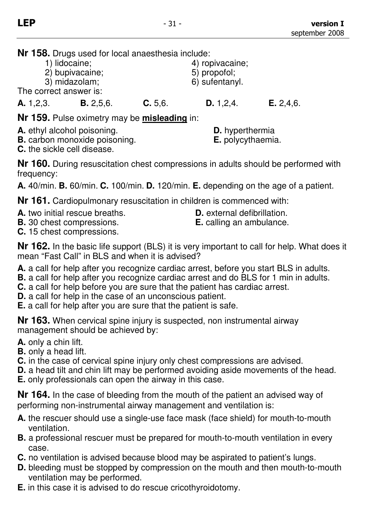**Nr 158.** Drugs used for local anaesthesia include:

- 
- 2) bupivacaine;
- 3) midazolam; 6) sufentanyl.

The correct answer is:

**A.** 1,2,3. **B.** 2,5,6. **C.** 5,6. **D.** 1,2,4. **E.** 2,4,6.

4) ropivacaine;<br>5) propofol;

**Nr 159.** Pulse oximetry may be **misleading** in:

- **A.** ethyl alcohol poisoning. **D.** hyperthermia
- **B.** carbon monoxide poisoning. **E.** polycythaemia.
- 

**C.** the sickle cell disease.

**Nr 160.** During resuscitation chest compressions in adults should be performed with frequency:

**A.** 40/min. **B.** 60/min. **C.** 100/min. **D.** 120/min. **E.** depending on the age of a patient.

**Nr 161.** Cardiopulmonary resuscitation in children is commenced with:

- **A.** two initial rescue breaths. **D.** external defibrillation.
- **B.** 30 chest compressions. **E.** calling an ambulance.
- **C.** 15 chest compressions.

**Nr 162.** In the basic life support (BLS) it is very important to call for help. What does it mean "Fast Call" in BLS and when it is advised?

- **A.** a call for help after you recognize cardiac arrest, before you start BLS in adults.
- **B.** a call for help after you recognize cardiac arrest and do BLS for 1 min in adults.
- **C.** a call for help before you are sure that the patient has cardiac arrest.
- **D.** a call for help in the case of an unconscious patient.
- **E.** a call for help after you are sure that the patient is safe.

**Nr 163.** When cervical spine injury is suspected, non instrumental airway management should be achieved by:

- **A.** only a chin lift.
- **B.** only a head lift.
- **C.** in the case of cervical spine injury only chest compressions are advised.
- **D.** a head tilt and chin lift may be performed avoiding aside movements of the head.
- **E.** only professionals can open the airway in this case.

**Nr 164.** In the case of bleeding from the mouth of the patient an advised way of performing non-instrumental airway management and ventilation is:

- **A.** the rescuer should use a single-use face mask (face shield) for mouth-to-mouth ventilation.
- **B.** a professional rescuer must be prepared for mouth-to-mouth ventilation in every case.
- **C.** no ventilation is advised because blood may be aspirated to patient's lungs.
- **D.** bleeding must be stopped by compression on the mouth and then mouth-to-mouth ventilation may be performed.
- **E.** in this case it is advised to do rescue cricothyroidotomy.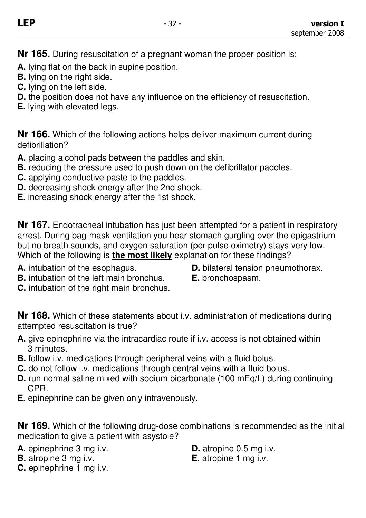**Nr 165.** During resuscitation of a pregnant woman the proper position is:

- **A.** lying flat on the back in supine position.
- **B.** lying on the right side.
- **C.** lying on the left side.
- **D.** the position does not have any influence on the efficiency of resuscitation.
- **E.** lying with elevated legs.

**Nr 166.** Which of the following actions helps deliver maximum current during defibrillation?

- **A.** placing alcohol pads between the paddles and skin.
- **B.** reducing the pressure used to push down on the defibrillator paddles.
- **C.** applying conductive paste to the paddles.
- **D.** decreasing shock energy after the 2nd shock.
- **E.** increasing shock energy after the 1st shock.

**Nr 167.** Endotracheal intubation has just been attempted for a patient in respiratory arrest. During bag-mask ventilation you hear stomach gurgling over the epigastrium but no breath sounds, and oxygen saturation (per pulse oximetry) stays very low. Which of the following is **the most likely** explanation for these findings?

- 
- **A.** intubation of the esophagus. **D.** bilateral tension pneumothorax.
- **B.** intubation of the left main bronchus. **E.** bronchospasm.
- **C.** intubation of the right main bronchus.

**Nr 168.** Which of these statements about i.v. administration of medications during attempted resuscitation is true?

- **A.** give epinephrine via the intracardiac route if i.v. access is not obtained within 3 minutes.
- **B.** follow i.v. medications through peripheral veins with a fluid bolus.
- **C.** do not follow i.v. medications through central veins with a fluid bolus.
- **D.** run normal saline mixed with sodium bicarbonate (100 mEq/L) during continuing CPR.
- **E.** epinephrine can be given only intravenously.

**Nr 169.** Which of the following drug-dose combinations is recommended as the initial medication to give a patient with asystole?

**A.** epinephrine 3 mg i.v. **D.** atropine 0.5 mg i.v.

- **B.** atropine 3 mg i.v.<br>**E.** atropine 1 mg i.v.
- -

**C.** epinephrine 1 mg i.v.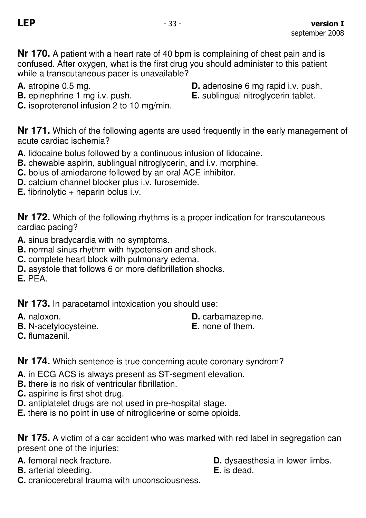**Nr 170.** A patient with a heart rate of 40 bpm is complaining of chest pain and is confused. After oxygen, what is the first drug you should administer to this patient while a transcutaneous pacer is unavailable?

- 
- 
- **C.** isoproterenol infusion 2 to 10 mg/min.
- **A.** atropine 0.5 mg.<br> **B.** epinephrine 1 mg i.v. push.<br> **E.** sublingual nitroglycerin tablet.
	- **E.** sublingual nitroglycerin tablet.

**Nr 171.** Which of the following agents are used frequently in the early management of acute cardiac ischemia?

- **A.** lidocaine bolus followed by a continuous infusion of lidocaine.
- **B.** chewable aspirin, sublingual nitroglycerin, and i.v. morphine.
- **C.** bolus of amiodarone followed by an oral ACE inhibitor.
- **D.** calcium channel blocker plus i.v. furosemide.
- **E.** fibrinolytic + heparin bolus i.v.

**Nr 172.** Which of the following rhythms is a proper indication for transcutaneous cardiac pacing?

- **A.** sinus bradycardia with no symptoms.
- **B.** normal sinus rhythm with hypotension and shock.
- **C.** complete heart block with pulmonary edema.
- **D.** asystole that follows 6 or more defibrillation shocks.
- **E.** PEA.

**Nr 173.** In paracetamol intoxication you should use:

- 
- **B.** N-acetylocysteine. **E.** none of them.
- **A.** naloxon. **D.** carbamazepine.
	-

**C.** flumazenil.

**Nr 174.** Which sentence is true concerning acute coronary syndrom?

- **A.** in ECG ACS is always present as ST-segment elevation.
- **B.** there is no risk of ventricular fibrillation.
- **C.** aspirine is first shot drug.
- **D.** antiplatelet drugs are not used in pre-hospital stage.
- **E.** there is no point in use of nitroglicerine or some opioids.

**Nr 175.** A victim of a car accident who was marked with red label in segregation can present one of the injuries:

- 
- **B.** arterial bleeding.
- **A.** femoral neck fracture.<br> **R.** arterial bleeding<br> **B.** arterial bleeding
	-
- **C.** craniocerebral trauma with unconsciousness.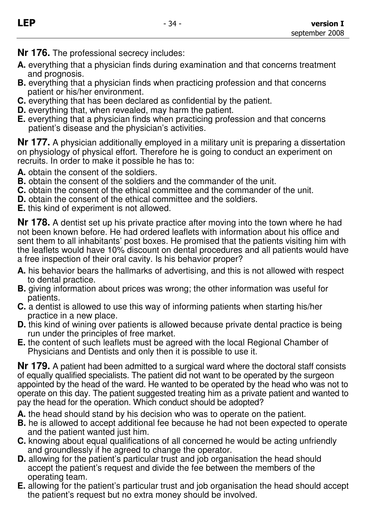**Nr 176.** The professional secrecy includes:

- **A.** everything that a physician finds during examination and that concerns treatment and prognosis.
- **B.** everything that a physician finds when practicing profession and that concerns patient or his/her environment.
- **C.** everything that has been declared as confidential by the patient.
- **D.** everything that, when revealed, may harm the patient.
- **E.** everything that a physician finds when practicing profession and that concerns patient's disease and the physician's activities.

**Nr 177.** A physician additionally employed in a military unit is preparing a dissertation on physiology of physical effort. Therefore he is going to conduct an experiment on recruits. In order to make it possible he has to:

- **A.** obtain the consent of the soldiers.
- **B.** obtain the consent of the soldiers and the commander of the unit.
- **C.** obtain the consent of the ethical committee and the commander of the unit.
- **D.** obtain the consent of the ethical committee and the soldiers.
- **E.** this kind of experiment is not allowed.

**Nr 178.** A dentist set up his private practice after moving into the town where he had not been known before. He had ordered leaflets with information about his office and sent them to all inhabitants' post boxes. He promised that the patients visiting him with the leaflets would have 10% discount on dental procedures and all patients would have a free inspection of their oral cavity. Is his behavior proper?

- **A.** his behavior bears the hallmarks of advertising, and this is not allowed with respect to dental practice.
- **B.** giving information about prices was wrong; the other information was useful for patients.
- **C.** a dentist is allowed to use this way of informing patients when starting his/her practice in a new place.
- **D.** this kind of wining over patients is allowed because private dental practice is being run under the principles of free market.
- **E.** the content of such leaflets must be agreed with the local Regional Chamber of Physicians and Dentists and only then it is possible to use it.

**Nr 179.** A patient had been admitted to a surgical ward where the doctoral staff consists of equally qualified specialists. The patient did not want to be operated by the surgeon appointed by the head of the ward. He wanted to be operated by the head who was not to operate on this day. The patient suggested treating him as a private patient and wanted to pay the head for the operation. Which conduct should be adopted?

- **A.** the head should stand by his decision who was to operate on the patient.
- **B.** he is allowed to accept additional fee because he had not been expected to operate and the patient wanted just him.
- **C.** knowing about equal qualifications of all concerned he would be acting unfriendly and groundlessly if he agreed to change the operator.
- **D.** allowing for the patient's particular trust and job organisation the head should accept the patient's request and divide the fee between the members of the operating team.
- **E.** allowing for the patient's particular trust and job organisation the head should accept the patient's request but no extra money should be involved.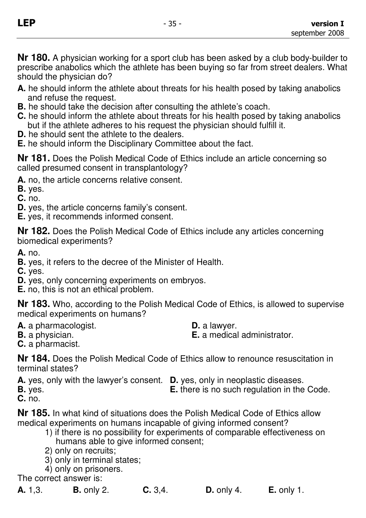**Nr 180.** A physician working for a sport club has been asked by a club body-builder to prescribe anabolics which the athlete has been buying so far from street dealers. What should the physician do?

- **A.** he should inform the athlete about threats for his health posed by taking anabolics and refuse the request.
- **B.** he should take the decision after consulting the athlete's coach.
- **C.** he should inform the athlete about threats for his health posed by taking anabolics but if the athlete adheres to his request the physician should fulfill it.
- **D.** he should sent the athlete to the dealers.
- **E.** he should inform the Disciplinary Committee about the fact.

**Nr 181.** Does the Polish Medical Code of Ethics include an article concerning so called presumed consent in transplantology?

**A.** no, the article concerns relative consent.

**B.** yes.

**C.** no.

**D.** yes, the article concerns family's consent.

**E.** yes, it recommends informed consent.

**Nr 182.** Does the Polish Medical Code of Ethics include any articles concerning biomedical experiments?

**A.** no.

**B.** yes, it refers to the decree of the Minister of Health.

**C.** yes.

**D.** yes, only concerning experiments on embryos.

**E.** no, this is not an ethical problem.

**Nr 183.** Who, according to the Polish Medical Code of Ethics, is allowed to supervise medical experiments on humans?

**A.** a pharmacologist. **D.** a lawyer.<br> **B.** a physician. **B.** a medical

**E.** a medical administrator.

**C.** a pharmacist.

**Nr 184.** Does the Polish Medical Code of Ethics allow to renounce resuscitation in terminal states?

**A.** yes, only with the lawyer's consent. **D.** yes, only in neoplastic diseases. **E.** there is no such regulation in the Code. **C.** no.

**Nr 185.** In what kind of situations does the Polish Medical Code of Ethics allow medical experiments on humans incapable of giving informed consent?

- 1) if there is no possibility for experiments of comparable effectiveness on humans able to give informed consent;
- 2) only on recruits;
- 3) only in terminal states;
- 4) only on prisoners.

The correct answer is:

**A.** 1,3. **B.** only 2. **C.** 3,4. **D.** only 4. **E.** only 1.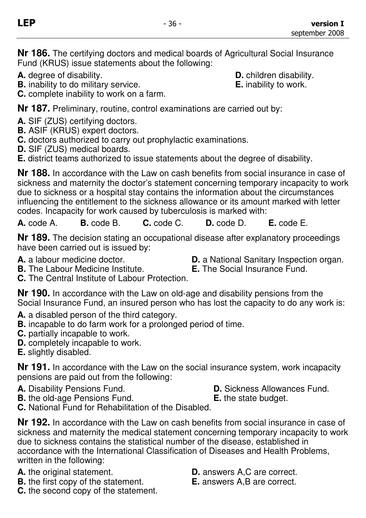**Nr 186.** The certifying doctors and medical boards of Agricultural Social Insurance Fund (KRUS) issue statements about the following:

**A.** degree of disability.<br> **B.** inability to do military service. **B.** inability to work. **B.** inability to do military service.

**C.** complete inability to work on a farm.

**Nr 187.** Preliminary, routine, control examinations are carried out by:

- **A.** SIF (ZUS) certifying doctors.
- **B.** ASIF (KRUS) expert doctors.
- **C.** doctors authorized to carry out prophylactic examinations.
- **D.** SIF (ZUS) medical boards.

**E.** district teams authorized to issue statements about the degree of disability.

**Nr 188.** In accordance with the Law on cash benefits from social insurance in case of sickness and maternity the doctor's statement concerning temporary incapacity to work due to sickness or a hospital stay contains the information about the circumstances influencing the entitlement to the sickness allowance or its amount marked with letter codes. Incapacity for work caused by tuberculosis is marked with:

**A.** code A. **B.** code B. **C.** code C. **D.** code D. **E.** code E.

**Nr 189.** The decision stating an occupational disease after explanatory proceedings have been carried out is issued by:

**A.** a labour medicine doctor.<br>**D.** a National Sanitary Inspection organ.<br>**B.** The Social Insurance Fund.

- **B.** The Labour Medicine Institute.
- **C.** The Central Institute of Labour Protection.

**Nr 190.** In accordance with the Law on old-age and disability pensions from the Social Insurance Fund, an insured person who has lost the capacity to do any work is:

- **A.** a disabled person of the third category.
- **B.** incapable to do farm work for a prolonged period of time.
- **C.** partially incapable to work.
- **D.** completely incapable to work.
- **E.** slightly disabled.

**Nr 191.** In accordance with the Law on the social insurance system, work incapacity pensions are paid out from the following:

- 
- A. Disability Pensions Fund. **D. Sickness Allowances Fund.**
- **B.** the old-age Pensions Fund. **E.** the state budget.
- **C.** National Fund for Rehabilitation of the Disabled.

**Nr 192.** In accordance with the Law on cash benefits from social insurance in case of sickness and maternity the medical statement concerning temporary incapacity to work due to sickness contains the statistical number of the disease, established in accordance with the International Classification of Diseases and Health Problems, written in the following:

- 
- **B.** the first copy of the statement.
- **C.** the second copy of the statement.
- **A.** the original statement.<br> **B.** the first copy of the statement. **E.** answers A.B are correct.
	-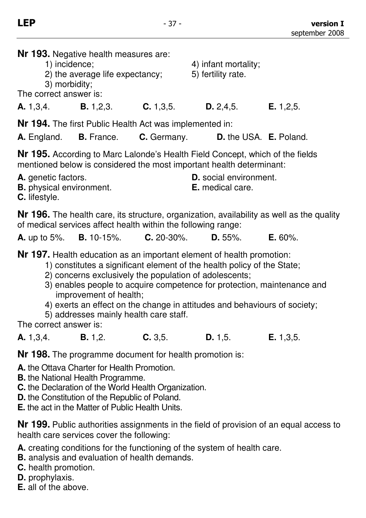| <b>Nr 193.</b> Negative health measures are:<br>1) incidence;<br>4) infant mortality;<br>2) the average life expectancy;<br>5) fertility rate.<br>3) morbidity;<br>The correct answer is: |                                                                        |  |                                                                                      |             |  |  |  |
|-------------------------------------------------------------------------------------------------------------------------------------------------------------------------------------------|------------------------------------------------------------------------|--|--------------------------------------------------------------------------------------|-------------|--|--|--|
|                                                                                                                                                                                           |                                                                        |  | <b>A.</b> 1,3,4. <b>B.</b> 1,2,3. <b>C.</b> 1,3,5. <b>D.</b> 2,4,5. <b>E.</b> 1,2,5. |             |  |  |  |
| <b>Nr 194.</b> The first Public Health Act was implemented in:<br><b>A.</b> England. <b>B.</b> France. <b>C.</b> Germany. <b>D.</b> the USA. <b>E.</b> Poland.                            |                                                                        |  |                                                                                      |             |  |  |  |
| <b>Nr 195.</b> According to Marc Lalonde's Health Field Concept, which of the fields<br>mentioned below is considered the most important health determinant:                              |                                                                        |  |                                                                                      |             |  |  |  |
| A. genetic factors.<br><b>B.</b> physical environment.<br><b>C.</b> lifestyle.                                                                                                            |                                                                        |  | <b>D.</b> social environment.<br><b>E.</b> medical care.                             |             |  |  |  |
| <b>Nr 196.</b> The health care, its structure, organization, availability as well as the quality<br>of medical services affect health within the following range:                         |                                                                        |  |                                                                                      |             |  |  |  |
|                                                                                                                                                                                           | <b>A.</b> up to 5%. <b>B.</b> 10-15%. <b>C.</b> 20-30%. <b>D.</b> 55%. |  |                                                                                      | $E. 60\%$ . |  |  |  |
| <b>Nr 197.</b> Health education as an important element of health promotion:<br>$\mathbf{r}$ , and the contract of the contract of $\mathbf{r}$                                           |                                                                        |  |                                                                                      |             |  |  |  |

1) constitutes a significant element of the health policy of the State;

- 2) concerns exclusively the population of adolescents;
- 3) enables people to acquire competence for protection, maintenance and improvement of health;
- 4) exerts an effect on the change in attitudes and behaviours of society;
- 5) addresses mainly health care staff.

The correct answer is:

**A.** 1,3,4. **B.** 1,2. **C.** 3,5. **D.** 1,5. **E.** 1,3,5.

**Nr 198.** The programme document for health promotion is:

**A.** the Ottava Charter for Health Promotion.

- **B.** the National Health Programme.
- **C.** the Declaration of the World Health Organization.
- **D.** the Constitution of the Republic of Poland.

**E.** the act in the Matter of Public Health Units.

**Nr 199.** Public authorities assignments in the field of provision of an equal access to health care services cover the following:

**A.** creating conditions for the functioning of the system of health care.

- **B.** analysis and evaluation of health demands.
- **C.** health promotion.
- **D.** prophylaxis.
- **E.** all of the above.